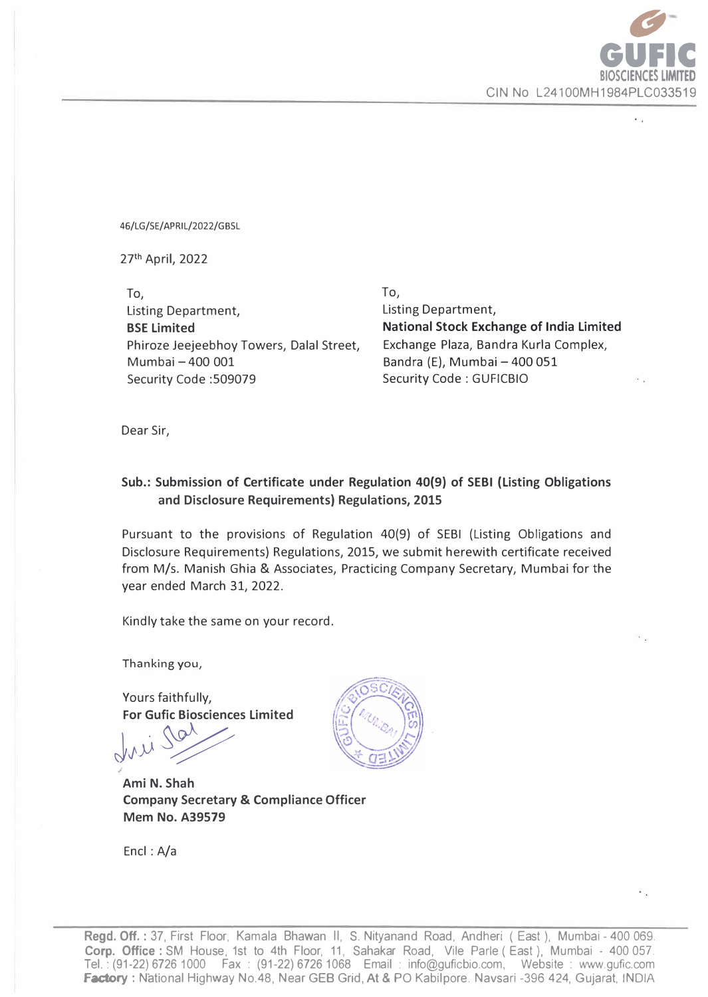

46/LG/SE/APRIL/2022/GBSL

27th April, 2022

To, Listing Department, **BSE Limited**  Phiroze Jeejeebhoy Towers, Dalal Street, Mumbai - 400 001 Security Code :509079

To, Listing Department, **National Stock Exchange of India Limited**  Exchange Plaza, Sandra Kurla Complex, Bandra (E), Mumbai - 400 051 Security Code: GUFICBIO

Dear Sir,

## **Sub.: Submission of Certificate under Regulation 40(9} of SEBI (Listing Obligations and Disclosure Requirements) Regulations, 2015**

Pursuant to the provisions of Regulation 40(9} of SESI (Listing Obligations and Disclosure Requirements} Regulations, 2015, we submit herewith certificate received from M/s. Manish Ghia & Associates, Practicing Company Secretary, Mumbai for the year ended March 31, 2022.

Kindly take the same on your record.

Thanking you,

Yours faithfully, **For Gufic Biosciences Limited** 

fri 100

**Ami N. Shah Company Secretary & Compliance Officer Mem No. A39579** 

Encl : A/a



**Regd. Off.** : 37, First Floor, Kamala Bhawan II, S. Nityanand Road, Andheri ( East }, Mumbai - 400 069. **Corp. Office** : SM House, 1st to 4th Floor, 11, Sahakar Road, Vile Parle ( East), Mumbai - 400 057. Tel.: (91-22} 6726 1000 Fax : (91-22) 67261068 Email : info@guficbio.com, Website : www.gufic.com Factory : National Highway No.48, Near GEB Grid, At & PO Kabilpore. Navsari -396 424, Gujarat, INDIA